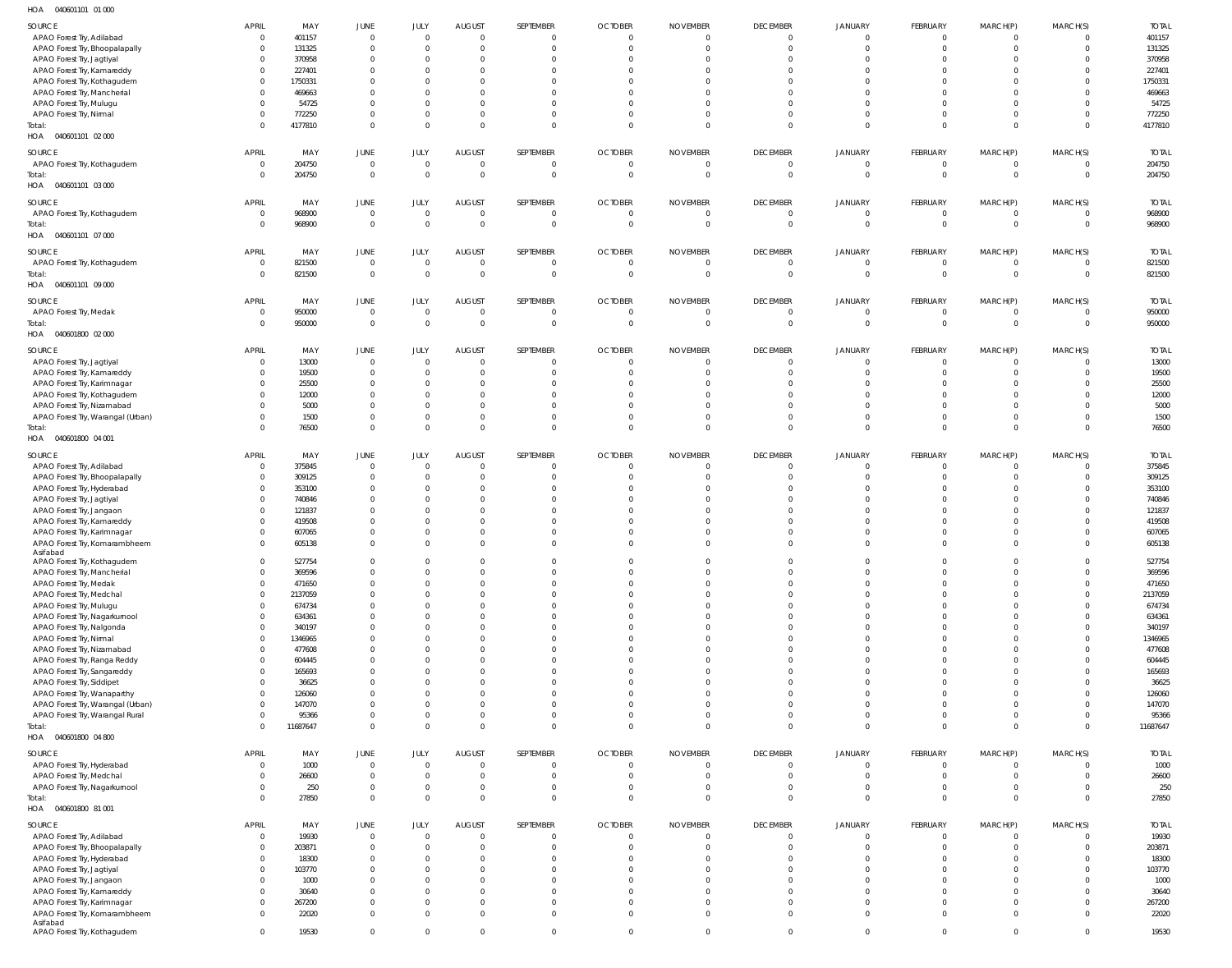040601101 01 000 HOA

| 110 <sub>M</sub><br><b>UTUULIUI UIUUU</b> |                |          |                |                |                |                |                |                 |                 |                         |                |                |                |              |
|-------------------------------------------|----------------|----------|----------------|----------------|----------------|----------------|----------------|-----------------|-----------------|-------------------------|----------------|----------------|----------------|--------------|
| SOURCE                                    | <b>APRIL</b>   | MAY      | JUNE           | JULY           | <b>AUGUST</b>  | SEPTEMBER      | <b>OCTOBER</b> | <b>NOVEMBER</b> | <b>DECEMBER</b> | JANUARY                 | FEBRUARY       | MARCH(P)       | MARCH(S)       | <b>TOTAL</b> |
|                                           |                |          | $\overline{0}$ | $\overline{0}$ |                |                |                |                 |                 |                         |                |                |                |              |
| APAO Forest Try, Adilabad                 | $\overline{0}$ | 401157   |                |                | $\overline{0}$ | $\Omega$       | $\Omega$       | $\Omega$        | $\overline{0}$  | $\overline{0}$          | $\overline{0}$ | $\overline{0}$ | $\mathbf{0}$   | 401157       |
| APAO Forest Try, Bhoopalapally            | $\mathbf 0$    | 131325   | $\overline{0}$ | $\overline{0}$ | $\overline{0}$ |                | $\Omega$       | $\Omega$        | $\overline{0}$  | $\overline{0}$          | $\overline{0}$ | 0              | $\mathbf{0}$   | 131325       |
| APAO Forest Try, Jagtiyal                 | 0              | 370958   | $\overline{0}$ | $\mathbf 0$    | $\circ$        |                |                |                 | $\Omega$        | $\Omega$                | $\Omega$       | $\Omega$       | $\Omega$       | 370958       |
| APAO Forest Try, Kamareddy                | 0              | 227401   | $\overline{0}$ | $\Omega$       | $\Omega$       |                |                |                 |                 | $\overline{0}$          | $\Omega$       | $\Omega$       | $\Omega$       | 227401       |
| APAO Forest Try, Kothagudem               | $\mathbf 0$    | 1750331  | $\Omega$       | $\Omega$       | $\Omega$       |                |                |                 | $\Omega$        | $\Omega$                | $\Omega$       | $\Omega$       | $\Omega$       | 1750331      |
| APAO Forest Try, Mancherial               | $\mathbf 0$    | 469663   | $\Omega$       | $\Omega$       | $\Omega$       |                |                |                 |                 | $\Omega$                | $\Omega$       | $\Omega$       | $\Omega$       | 469663       |
| APAO Forest Try, Mulugu                   | 0              | 54725    | $\Omega$       | $\mathbf 0$    | $\Omega$       |                |                |                 | $\Omega$        | $\Omega$                | $\Omega$       | $\Omega$       | $\Omega$       | 54725        |
|                                           |                |          |                |                |                |                |                |                 |                 |                         |                |                |                |              |
| APAO Forest Try, Nirmal                   | $\mathbf 0$    | 772250   | $\overline{0}$ | $\mathbf 0$    | $\overline{0}$ | $\Omega$       |                |                 | $\mathbf 0$     | $\overline{0}$          | $\overline{0}$ | $\overline{0}$ | $\Omega$       | 772250       |
| Total:                                    | $\Omega$       | 4177810  | $\Omega$       | $\Omega$       | $\Omega$       | $\Omega$       |                | $\Omega$        | $\Omega$        | $\Omega$                | $\Omega$       | $\Omega$       | $\Omega$       | 4177810      |
| HOA  040601101  02  000                   |                |          |                |                |                |                |                |                 |                 |                         |                |                |                |              |
|                                           |                |          |                |                |                |                |                |                 |                 |                         |                |                |                |              |
| SOURCE                                    | <b>APRIL</b>   | MAY      | JUNE           | JULY           | <b>AUGUST</b>  | SEPTEMBER      | <b>OCTOBER</b> | <b>NOVEMBER</b> | <b>DECEMBER</b> | JANUARY                 | FEBRUARY       | MARCH(P)       | MARCH(S)       | <b>TOTAL</b> |
| APAO Forest Try, Kothagudem               | $\overline{0}$ | 204750   | $\overline{0}$ | $\overline{0}$ | $\overline{0}$ | $\Omega$       | $\Omega$       | $\Omega$        | $\overline{0}$  | $\overline{0}$          | $\overline{0}$ | $\overline{0}$ | $\overline{0}$ | 204750       |
| Total:                                    | $\overline{0}$ | 204750   | $\overline{0}$ | $\overline{0}$ | $\overline{0}$ | $\Omega$       | $\Omega$       | $\Omega$        | $\Omega$        | $\overline{0}$          | $\overline{0}$ | $\overline{0}$ | $\overline{0}$ | 204750       |
| HOA  040601101  03  000                   |                |          |                |                |                |                |                |                 |                 |                         |                |                |                |              |
|                                           |                |          |                |                |                |                |                |                 |                 |                         |                |                |                |              |
| SOURCE                                    | APRIL          | MAY      | <b>JUNE</b>    | JULY           | <b>AUGUST</b>  | SEPTEMBER      | <b>OCTOBER</b> | <b>NOVEMBER</b> | <b>DECEMBER</b> | JANUARY                 | FEBRUARY       | MARCH(P)       | MARCH(S)       | <b>TOTAL</b> |
| APAO Forest Try, Kothagudem               | $\overline{0}$ | 968900   | $\overline{0}$ | $\overline{0}$ | $\overline{0}$ |                | $\Omega$       | $\Omega$        | $\overline{0}$  | $\overline{\mathbf{0}}$ | $\overline{0}$ | $\overline{0}$ | $\overline{0}$ | 968900       |
| Total:                                    | $\mathbf 0$    | 968900   | $\overline{0}$ | $\Omega$       | $\overline{0}$ | $\Omega$       | $\Omega$       | $\Omega$        | $\overline{0}$  | $\overline{0}$          | $\overline{0}$ | $\overline{0}$ | $\mathbf{0}$   | 968900       |
| HOA  040601101  07  000                   |                |          |                |                |                |                |                |                 |                 |                         |                |                |                |              |
|                                           |                |          |                |                |                |                |                |                 |                 |                         |                |                |                |              |
| SOURCE                                    | <b>APRIL</b>   | MAY      | JUNE           | JULY           | <b>AUGUST</b>  | SEPTEMBER      | <b>OCTOBER</b> | <b>NOVEMBER</b> | <b>DECEMBER</b> | JANUARY                 | FEBRUARY       | MARCH(P)       | MARCH(S)       | <b>TOTAL</b> |
| APAO Forest Try, Kothagudem               | $\overline{0}$ | 821500   | $\overline{0}$ | $\mathbf 0$    | $\overline{0}$ |                | $\Omega$       |                 | $^{\circ}$      | $\overline{0}$          | $\overline{0}$ | $\overline{0}$ | 0              | 821500       |
| Total:                                    | $\overline{0}$ | 821500   | $\overline{0}$ | $\overline{0}$ | $\overline{0}$ | $\Omega$       | $\Omega$       |                 | $\overline{0}$  | $\overline{0}$          | $\overline{0}$ | $\overline{0}$ | $\overline{0}$ | 821500       |
|                                           |                |          |                |                |                |                |                |                 |                 |                         |                |                |                |              |
| HOA  040601101  09  000                   |                |          |                |                |                |                |                |                 |                 |                         |                |                |                |              |
| SOURCE                                    | <b>APRIL</b>   | MAY      | JUNE           | JULY           | <b>AUGUST</b>  | SEPTEMBER      | <b>OCTOBER</b> | <b>NOVEMBER</b> | <b>DECEMBER</b> | JANUARY                 | FEBRUARY       | MARCH(P)       | MARCH(S)       | <b>TOTAL</b> |
| APAO Forest Try, Medak                    | $\overline{0}$ | 950000   | $\overline{0}$ | $\overline{0}$ | $\overline{0}$ | $\Omega$       | $\Omega$       | $\Omega$        | $\overline{0}$  | $\overline{0}$          | $\overline{0}$ | $\overline{0}$ | $\Omega$       | 950000       |
|                                           |                |          |                |                |                |                |                |                 |                 |                         |                |                |                |              |
| Total:                                    | $\overline{0}$ | 950000   | $\overline{0}$ | $\overline{0}$ | $\overline{0}$ | $\Omega$       | $\Omega$       | $\Omega$        | $\overline{0}$  | $\overline{0}$          | $\overline{0}$ | $\overline{0}$ | $\overline{0}$ | 950000       |
| 040601800 02 000<br>HOA                   |                |          |                |                |                |                |                |                 |                 |                         |                |                |                |              |
|                                           |                |          |                |                |                |                |                |                 |                 |                         |                |                |                |              |
| SOURCE                                    | <b>APRIL</b>   | MAY      | JUNE           | JULY           | <b>AUGUST</b>  | SEPTEMBER      | <b>OCTOBER</b> | <b>NOVEMBER</b> | <b>DECEMBER</b> | JANUARY                 | FEBRUARY       | MARCH(P)       | MARCH(S)       | <b>TOTAL</b> |
| APAO Forest Try, Jagtiyal                 | $\overline{0}$ | 13000    | $\overline{0}$ | $\overline{0}$ | $\overline{0}$ |                | $\Omega$       |                 | $\Omega$        | $\overline{0}$          | $\overline{0}$ | $\overline{0}$ | $\mathbf{0}$   | 13000        |
| APAO Forest Try, Kamareddy                | $\mathbf 0$    | 19500    | $\overline{0}$ | $\mathbf 0$    | $\overline{0}$ |                |                |                 | $\Omega$        | $\Omega$                | $\Omega$       | $\mathbf{0}$   | $\Omega$       | 19500        |
| APAO Forest Try, Karimnagar               | $\Omega$       | 25500    | $\overline{0}$ | $\mathbf 0$    | $\overline{0}$ |                |                |                 | $\Omega$        | $\Omega$                | $\Omega$       | $\Omega$       | $\Omega$       | 25500        |
| APAO Forest Try, Kothagudem               | $\Omega$       | 12000    | $\overline{0}$ | 0              | $\overline{0}$ |                |                |                 |                 | $\Omega$                | $\Omega$       | $\Omega$       | $\Omega$       | 12000        |
|                                           | $\Omega$       | 5000     | $\Omega$       | $\Omega$       | $\Omega$       |                |                |                 |                 | $\Omega$                | $\Omega$       | $\Omega$       |                | 5000         |
| APAO Forest Try, Nizamabad                |                |          |                |                |                |                |                |                 |                 |                         |                |                |                |              |
| APAO Forest Try, Warangal (Urban)         | $\Omega$       | 1500     | $\Omega$       | $\mathbf 0$    | $\overline{0}$ |                |                |                 | $\Omega$        | $\overline{0}$          | $\Omega$       | $\mathbf{0}$   | $\Omega$       | 1500         |
| Total:                                    | $\Omega$       | 76500    | $\overline{0}$ | $\Omega$       | $\overline{0}$ | $\Omega$       |                |                 | $\Omega$        | $\overline{0}$          | $\Omega$       | $\mathbf{0}$   | $\Omega$       | 76500        |
| HOA  040601800  04  001                   |                |          |                |                |                |                |                |                 |                 |                         |                |                |                |              |
|                                           |                |          |                |                |                |                |                |                 |                 |                         |                |                |                |              |
| SOURCE                                    | <b>APRIL</b>   | MAY      | JUNE           | JULY           | <b>AUGUST</b>  | SEPTEMBER      | <b>OCTOBER</b> | <b>NOVEMBER</b> | <b>DECEMBER</b> | <b>JANUARY</b>          | FEBRUARY       | MARCH(P)       | MARCH(S)       | <b>TOTAL</b> |
| APAO Forest Try, Adilabad                 | $\overline{0}$ | 375845   | $\overline{0}$ | $\overline{0}$ | $\circ$        | $\Omega$       | $\Omega$       | $\Omega$        | $\overline{0}$  | $\overline{\mathbf{0}}$ | $\overline{0}$ | 0              | $\Omega$       | 375845       |
| APAO Forest Try, Bhoopalapally            | $\mathbf 0$    | 309125   | $\overline{0}$ | $\mathbf 0$    | $\overline{0}$ | $\Omega$       | $\Omega$       | $\Omega$        | $\Omega$        | $\Omega$                | $\Omega$       | $\mathbf{0}$   | $\Omega$       | 309125       |
| APAO Forest Try, Hyderabad                | $\mathbf{0}$   | 353100   | $\overline{0}$ | $\overline{0}$ | $\circ$        |                |                |                 |                 | $\overline{0}$          | $\Omega$       | $\Omega$       | $\Omega$       | 353100       |
|                                           |                |          |                |                |                |                |                |                 |                 |                         |                |                |                |              |
| APAO Forest Try, Jagtiyal                 | $\mathbf 0$    | 740846   | $\overline{0}$ | $\mathbf 0$    | $\Omega$       |                |                |                 | $\Omega$        | $\Omega$                | $\Omega$       | $\Omega$       | $\Omega$       | 740846       |
| APAO Forest Try, Jangaon                  | $\mathbf 0$    | 121837   | $\Omega$       | $\Omega$       | $\Omega$       |                |                |                 |                 | $\Omega$                | $\Omega$       | $\Omega$       | $\Omega$       | 121837       |
| APAO Forest Try, Kamareddy                | 0              | 419508   | $\Omega$       | 0              | $\Omega$       |                |                |                 | $\Omega$        | $\Omega$                | $\Omega$       | $\Omega$       | $\Omega$       | 419508       |
| APAO Forest Try, Karimnagar               | $\Omega$       | 607065   | $\Omega$       | $\mathbf 0$    | $\overline{0}$ |                |                |                 | $\mathbf 0$     | $\overline{0}$          | $\overline{0}$ | 0              | $\Omega$       | 607065       |
| APAO Forest Try, Komarambheem             | 0              | 605138   | $\Omega$       | $\mathbf 0$    | $\Omega$       | $\Omega$       | $\Omega$       | $\Omega$        | $\Omega$        | $\Omega$                | $\Omega$       | $\Omega$       | $\Omega$       | 605138       |
| Asifabad                                  |                |          |                |                |                |                |                |                 |                 |                         |                |                |                |              |
| APAO Forest Try, Kothagudem               |                | 527754   |                |                |                |                |                |                 |                 |                         |                |                |                | 527754       |
| APAO Forest Try, Mancherial               | $\Omega$       | 369596   | $\overline{0}$ | $\Omega$       | $\Omega$       |                |                |                 |                 | $\Omega$                | $\Omega$       | $\Omega$       | $\Omega$       | 369596       |
|                                           |                |          |                |                |                |                |                |                 |                 |                         |                |                |                |              |
| APAO Forest Try, Medak                    | $\mathbf 0$    | 471650   | $\overline{0}$ | $\Omega$       | $\overline{0}$ | $\Omega$       | $\Omega$       |                 | $\Omega$        | $\overline{0}$          | $\overline{0}$ | $\Omega$       | $\Omega$       | 471650       |
| APAO Forest Try, Medchal                  | $\mathbf 0$    | 2137059  | $\overline{0}$ | $\Omega$       | $\Omega$       | $\Omega$       | $\Omega$       | $\Omega$        | $\Omega$        | $\Omega$                | $\Omega$       | $\Omega$       | $\Omega$       | 2137059      |
| APAO Forest Try, Mulugu                   | $\mathbf 0$    | 674734   | $\overline{0}$ | $\Omega$       | $\Omega$       | $\Omega$       |                |                 | $\Omega$        | $\Omega$                | $\Omega$       | $\Omega$       | $\Omega$       | 674734       |
| APAO Forest Try, Nagarkurnool             | $\mathbf 0$    | 634361   | $\overline{0}$ | $\Omega$       | $\Omega$       |                | $\Omega$       |                 | $\Omega$        | $\Omega$                | $\Omega$       | $\Omega$       | $\Omega$       | 634361       |
| APAO Forest Try, Nalgonda                 | $\mathbf 0$    | 340197   | $\overline{0}$ | $\Omega$       | $\overline{0}$ | $\Omega$       |                |                 | $\Omega$        | $\Omega$                | $\Omega$       | $\Omega$       | $\Omega$       | 340197       |
|                                           | $\mathbf 0$    | 1346965  | $\overline{0}$ | $\Omega$       | $\Omega$       | $\Omega$       |                |                 | $\Omega$        | $\Omega$                | $\Omega$       | $\Omega$       | $\Omega$       |              |
| APAO Forest Try, Nirmal                   |                |          |                |                |                |                |                |                 |                 |                         |                |                |                | 1346965      |
| APAO Forest Try, Nizamabad                | $\mathbf 0$    | 477608   | $\overline{0}$ | $\Omega$       | $\overline{0}$ | $\Omega$       |                |                 | $\Omega$        | $\overline{0}$          | $\Omega$       | $\Omega$       | $\Omega$       | 477608       |
| APAO Forest Try, Ranga Reddy              | $\mathbf 0$    | 604445   | $\Omega$       | $\Omega$       | $\Omega$       | $\Omega$       |                |                 | $\Omega$        | $\Omega$                | $\Omega$       | $\Omega$       | $\Omega$       | 604445       |
| APAO Forest Try, Sangareddy               | $\mathbf 0$    | 165693   | $\overline{0}$ | $\Omega$       | $\overline{0}$ | $\Omega$       |                |                 | $\Omega$        | $\overline{0}$          | $\Omega$       | $\Omega$       | $\Omega$       | 165693       |
| APAO Forest Try, Siddipet                 | $\Omega$       | 36625    | $\overline{0}$ | $\Omega$       | $\Omega$       | $\Omega$       |                | $\Omega$        | $\Omega$        | $\Omega$                | $\Omega$       | $\Omega$       | $\Omega$       | 36625        |
| APAO Forest Try, Wanaparthy               | $\mathbf 0$    | 126060   | $\overline{0}$ | $\Omega$       | $\Omega$       | $\Omega$       |                |                 | $\Omega$        | $\Omega$                | $\Omega$       | $\Omega$       | $\Omega$       | 126060       |
| APAO Forest Try, Warangal (Urban)         | $\Omega$       | 147070   | $\overline{0}$ | $\mathbf 0$    | $\Omega$       | $\Omega$       | $\Omega$       | $\Omega$        | $\Omega$        | $\Omega$                | $\Omega$       | $\Omega$       | $\Omega$       | 147070       |
|                                           |                |          | $\overline{0}$ | $\mathbf 0$    | $\overline{0}$ | $\Omega$       | $\Omega$       | $\Omega$        | $\Omega$        | $\overline{0}$          | $\overline{0}$ |                | $\Omega$       |              |
| APAO Forest Try, Warangal Rural           | $\mathbf 0$    | 95366    |                |                |                |                |                |                 |                 |                         |                | $\overline{0}$ |                | 95366        |
| Total:                                    | $\Omega$       | 11687647 | $\overline{0}$ | $\Omega$       | $\overline{0}$ | $\Omega$       | $\Omega$       | $\Omega$        | $\Omega$        | $\overline{0}$          | $\Omega$       | $\mathbf{0}$   | $\Omega$       | 11687647     |
| HOA  040601800  04 800                    |                |          |                |                |                |                |                |                 |                 |                         |                |                |                |              |
|                                           |                |          |                |                |                |                |                |                 |                 |                         |                |                |                |              |
| SOURCE                                    | <b>APRIL</b>   | MAY      | JUNE           | <b>JULY</b>    | <b>AUGUST</b>  | SEPTEMBER      | <b>OCTOBER</b> | <b>NOVEMBER</b> | <b>DECEMBER</b> | <b>JANUARY</b>          | FEBRUARY       | MARCH(P)       | MARCH(S)       | <b>TOTAL</b> |
| APAO Forest Try, Hyderabad                | $\overline{0}$ | 1000     | $\overline{0}$ | $\overline{0}$ | $\overline{0}$ | $\Omega$       | $\Omega$       | $\Omega$        | $\overline{0}$  | $\overline{0}$          | $\overline{0}$ | $\overline{0}$ | $\overline{0}$ | 1000         |
| APAO Forest Try, Medchal                  | $\mathbf 0$    | 26600    | $\overline{0}$ | $\overline{0}$ | $\overline{0}$ | $\Omega$       | $\Omega$       | $\Omega$        | $\overline{0}$  | $\overline{0}$          | $\overline{0}$ | $\overline{0}$ | $\mathbf{0}$   | 26600        |
| APAO Forest Try, Nagarkurnool             | $\mathbf 0$    | 250      | $\overline{0}$ | $\mathbf 0$    | $\overline{0}$ | $\overline{0}$ | $\Omega$       | $\Omega$        | $\overline{0}$  | $\overline{0}$          | $\overline{0}$ | $\overline{0}$ | $\Omega$       | 250          |
| Total:                                    | $\Omega$       | 27850    | $\overline{0}$ | $\overline{0}$ | $\overline{0}$ | $\overline{0}$ | $\Omega$       | $\Omega$        | $\Omega$        | $\overline{0}$          | $\Omega$       | $\mathbf{0}$   | $\Omega$       | 27850        |
| HOA  040601800  81 001                    |                |          |                |                |                |                |                |                 |                 |                         |                |                |                |              |
|                                           |                |          |                |                |                |                |                |                 |                 |                         |                |                |                |              |
| SOURCE                                    | <b>APRIL</b>   | MAY      | <b>JUNE</b>    | JULY           | <b>AUGUST</b>  | SEPTEMBER      | <b>OCTOBER</b> | <b>NOVEMBER</b> | <b>DECEMBER</b> | <b>JANUARY</b>          | FEBRUARY       | MARCH(P)       | MARCH(S)       | <b>TOTAL</b> |
|                                           | $\mathbf 0$    | 19930    | $\overline{0}$ | $\overline{0}$ | $\overline{0}$ | $\Omega$       | $\Omega$       | $\Omega$        | $\overline{0}$  | $\overline{0}$          | $\overline{0}$ | $\overline{0}$ | $\overline{0}$ | 19930        |
| APAO Forest Try, Adilabad                 |                |          |                |                |                |                |                |                 |                 |                         |                |                |                |              |
| APAO Forest Try, Bhoopalapally            | $\mathbf 0$    | 203871   | $\overline{0}$ | $\overline{0}$ | $\overline{0}$ | $\Omega$       | $\Omega$       | $\Omega$        | $\overline{0}$  | $\overline{0}$          | $\overline{0}$ | $\overline{0}$ | $\mathbf 0$    | 203871       |
| APAO Forest Try, Hyderabad                | $\mathbf 0$    | 18300    | $\overline{0}$ | $\mathbf 0$    | $\overline{0}$ | $\Omega$       | $\Omega$       | $\Omega$        | $\Omega$        | $\overline{0}$          | $\Omega$       | $\Omega$       | $\Omega$       | 18300        |
| APAO Forest Try, Jagtiyal                 | $\mathbf 0$    | 103770   | $\overline{0}$ | $\mathbf 0$    | $\overline{0}$ | $\Omega$       | $\Omega$       |                 | $\Omega$        | $\overline{0}$          | $\Omega$       | $\Omega$       | $\Omega$       | 103770       |
| APAO Forest Try, Jangaon                  | $\Omega$       | 1000     | $\overline{0}$ | $\Omega$       | $\Omega$       |                |                |                 | $\Omega$        | $\Omega$                | $\Omega$       | $\Omega$       | $\Omega$       | 1000         |
| APAO Forest Try, Kamareddy                | $\mathbf 0$    | 30640    | $\overline{0}$ | $\mathbf 0$    | $\overline{0}$ | $\Omega$       | $\Omega$       |                 | $\Omega$        | $\overline{0}$          | $\Omega$       | $\mathbf{0}$   | $\Omega$       | 30640        |
|                                           |                |          |                |                |                |                |                |                 |                 |                         |                |                |                |              |
| APAO Forest Try, Karimnagar               | $\mathbf 0$    | 267200   | $\overline{0}$ | $\mathbf 0$    | $\overline{0}$ | $\Omega$       | $\Omega$       | $\Omega$        | $\Omega$        | $\overline{0}$          | $\overline{0}$ | $\Omega$       | $\Omega$       | 267200       |
| APAO Forest Try, Komarambheem             | $\Omega$       | 22020    | $\Omega$       | $\Omega$       | $\Omega$       | $\Omega$       | $\Omega$       | $\Omega$        | $\Omega$        | $\Omega$                | $\Omega$       | $\Omega$       | $\Omega$       | 22020        |
| Asifabad                                  |                |          |                |                |                |                |                |                 |                 |                         |                |                |                |              |
| APAO Forest Try, Kothagudem               | $\mathbf{0}$   | 19530    | $\overline{0}$ | $\mathbf 0$    | $\overline{0}$ | $\mathbf 0$    | $\overline{0}$ | $\Omega$        | $\mathbf 0$     | $\overline{0}$          | $\mathbf{0}$   | $\overline{0}$ | $\mathbf{0}$   | 19530        |
|                                           |                |          |                |                |                |                |                |                 |                 |                         |                |                |                |              |